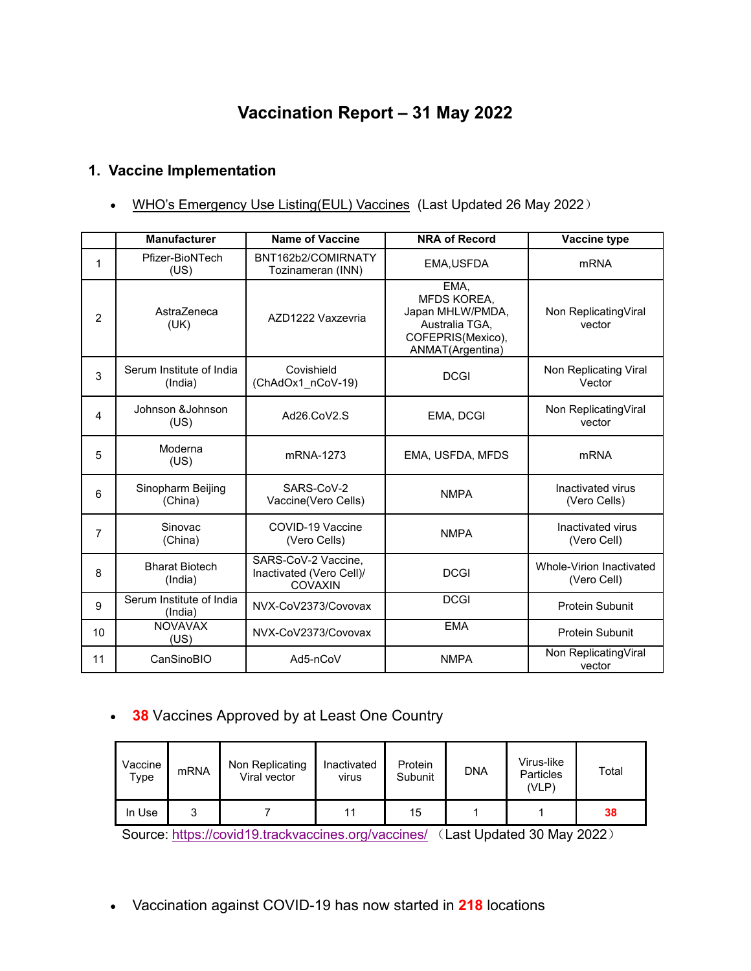# **Vaccination Report – 31 May 2022**

### **1. Vaccine Implementation**

• WHO's Emergency Use [Listing\(EUL\)](https://extranet.who.int/pqweb/sites/default/files/documents/Status_COVID_VAX_26May2022.pdf) Vaccines (Last Updated 26 May 2022)

|    | <b>Manufacturer</b>                 | <b>Name of Vaccine</b>                                            | <b>NRA of Record</b>                                                                               | Vaccine type                            |
|----|-------------------------------------|-------------------------------------------------------------------|----------------------------------------------------------------------------------------------------|-----------------------------------------|
|    | Pfizer-BioNTech<br>(US)             | BNT162b2/COMIRNATY<br>Tozinameran (INN)                           | EMA, USFDA                                                                                         | <b>mRNA</b>                             |
| 2  | AstraZeneca<br>(UK)                 | AZD1222 Vaxzevria                                                 | EMA,<br>MFDS KOREA,<br>Japan MHLW/PMDA,<br>Australia TGA.<br>COFEPRIS(Mexico),<br>ANMAT(Argentina) | Non ReplicatingViral<br>vector          |
| 3  | Serum Institute of India<br>(India) | Covishield<br>(ChAdOx1 nCoV-19)                                   | <b>DCGI</b>                                                                                        | Non Replicating Viral<br>Vector         |
| 4  | Johnson & Johnson<br>(US)           | Ad26.CoV2.S                                                       | EMA, DCGI                                                                                          | Non ReplicatingViral<br>vector          |
| 5  | Moderna<br>(US)                     | mRNA-1273                                                         | EMA, USFDA, MFDS                                                                                   | <b>mRNA</b>                             |
| 6  | Sinopharm Beijing<br>(China)        | SARS-CoV-2<br>Vaccine(Vero Cells)                                 | <b>NMPA</b>                                                                                        | Inactivated virus<br>(Vero Cells)       |
| 7  | Sinovac<br>(China)                  | COVID-19 Vaccine<br>(Vero Cells)                                  | <b>NMPA</b>                                                                                        | Inactivated virus<br>(Vero Cell)        |
| 8  | <b>Bharat Biotech</b><br>(India)    | SARS-CoV-2 Vaccine,<br>Inactivated (Vero Cell)/<br><b>COVAXIN</b> | <b>DCGI</b>                                                                                        | Whole-Virion Inactivated<br>(Vero Cell) |
| 9  | Serum Institute of India<br>(India) | NVX-CoV2373/Covovax                                               | <b>DCGI</b>                                                                                        | <b>Protein Subunit</b>                  |
| 10 | <b>NOVAVAX</b><br>(US)              | NVX-CoV2373/Covovax                                               | <b>EMA</b>                                                                                         | <b>Protein Subunit</b>                  |
| 11 | CanSinoBIO                          | Ad5-nCoV                                                          | <b>NMPA</b>                                                                                        | Non ReplicatingViral<br>vector          |

### **38** Vaccines Approved by at Least One Country

| Vaccine<br>$\tau_{\text{ype}}$ | mRNA | Non Replicating<br>Viral vector | Inactivated<br>virus | Protein<br>Subunit | <b>DNA</b> | Virus-like<br><b>Particles</b><br>(VLP) | Total |
|--------------------------------|------|---------------------------------|----------------------|--------------------|------------|-----------------------------------------|-------|
| In Use                         | ິ    |                                 | 11                   | 15                 |            |                                         | 38    |

Source: <https://covid19.trackvaccines.org/vaccines/> (Last Updated 30 May 2022)

Vaccination against COVID-19 has now started in **218** locations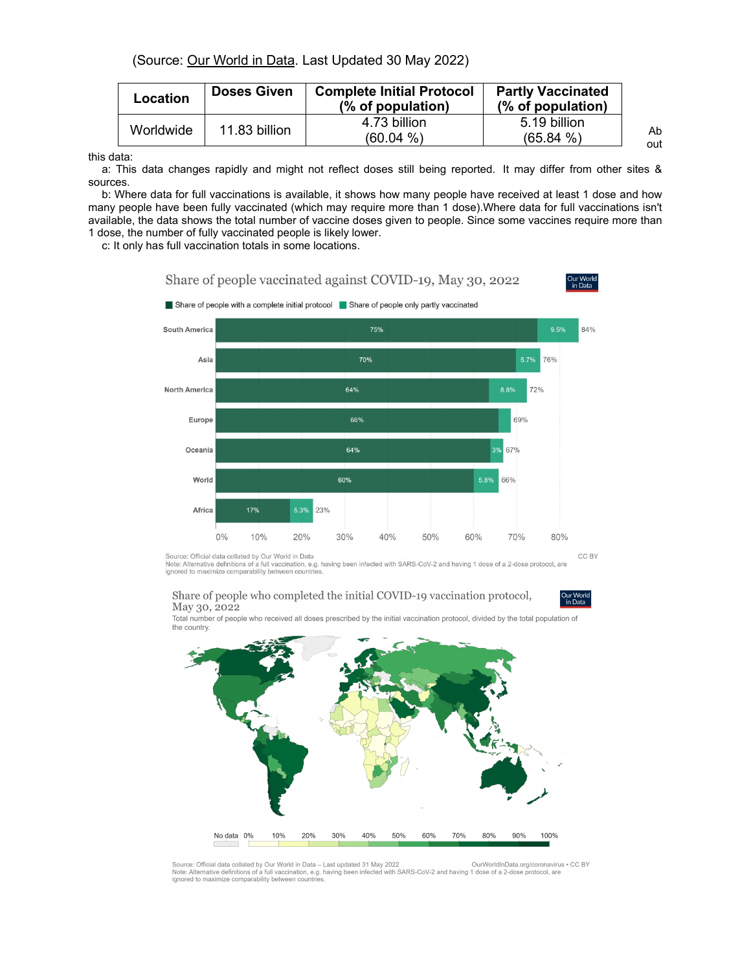(Source: Our [World](https://ourworldindata.org/covid-vaccinations) in Data. Last Updated 30 May 2022)

this data:

a: This data changes rapidly and might not reflect doses still being reported. It may differ from other sites & sources.

b: Where data for full vaccinations is available, it shows how many people have received at least 1 dose and how many people have been fully vaccinated (which may require more than 1 dose).Where data for full vaccinations isn't available, the data shows the total number of vaccine doses given to people. Since some vaccines require more than 1 dose, the number of fully vaccinated people is likely lower.

c: It only has full vaccination totals in some locations.

### Share of people vaccinated against COVID-19, May 30, 2022

Share of people with a complete initial protocol Share of people only partly vaccinated



Source: Official data collated by Our World in Data

Note: Alternative definitions of a full vaccination, e.g. having been infected with SARS-CoV-2 and having 1 dose of a 2-dose protocol, are ignored to maximize comparability between countries

#### Share of people who completed the initial COVID-19 vaccination protocol, May 30, 2022

Total number of people who received all doses prescribed by the initial vaccination protocol, divided by the total population of the country.



Source: Official data collated by Our World in Data - Last updated 31 May 2022 OurWorldInData.org/coronavirus . CC BY Source: Omcial data collated and Data Last updated 31 May 2022<br>Note: Alternative definitions of a full vaccination, e.g. having been infected with SARS-CoV-2 and having 1 dose of a 2-dose protocol, are<br>ignored to maximize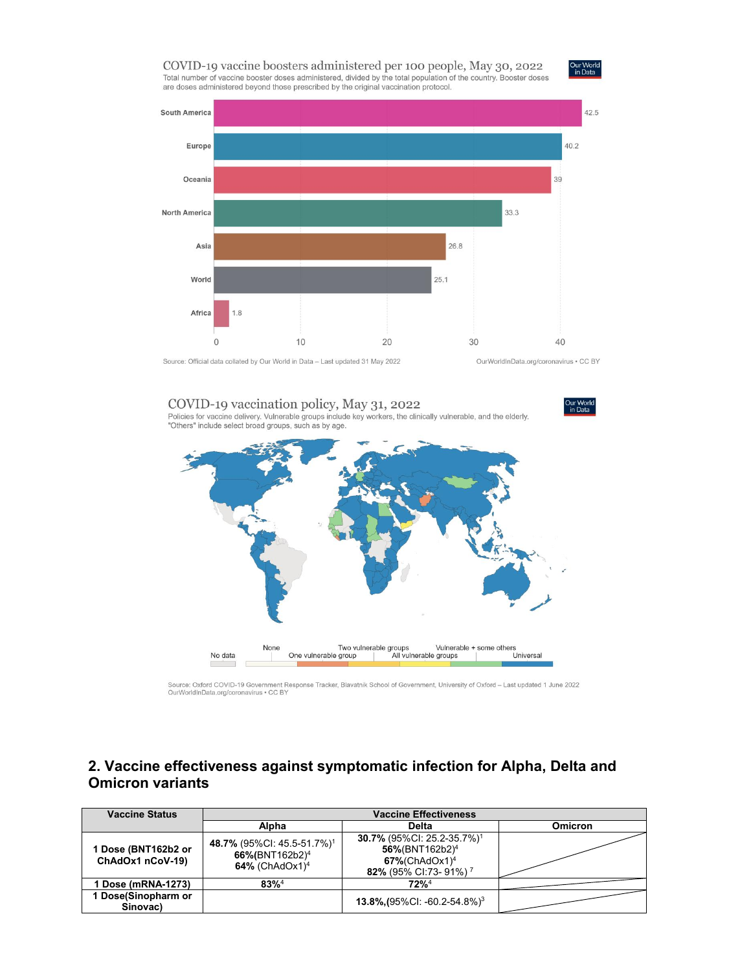



Source: Official data collated by Our World in Data - Last updated 31 May 2022

OurWorldInData.org/coronavirus . CC BY



Source: Oxford COVID-19 Government Response Tracker, Blavatnik School of Government, University of Oxford - Last updated 1 June 2022<br>OurWorldInData.org/coronavirus . CC BY

### **2. Vaccine effectiveness against symptomatic infection for Alpha, Delta and Omicron variants**

| <b>Vaccine Status</b>                 | <b>Vaccine Effectiveness</b>                                                                          |                                                                                                                                           |                |
|---------------------------------------|-------------------------------------------------------------------------------------------------------|-------------------------------------------------------------------------------------------------------------------------------------------|----------------|
|                                       | Alpha                                                                                                 | Delta                                                                                                                                     | <b>Omicron</b> |
| Dose (BNT162b2 or<br>ChAdOx1 nCoV-19) | 48.7% (95%CI: 45.5-51.7%) <sup>1</sup><br>66%(BNT162b2) <sup>4</sup><br>$64\%$ (ChAdOx1) <sup>4</sup> | 30.7% (95%CI: 25.2-35.7%) <sup>1</sup><br>56%(BNT162b2) <sup>4</sup><br>$67\%$ (ChAdOx1) <sup>4</sup><br>82% (95% CI:73-91%) <sup>7</sup> |                |
| 1 Dose (mRNA-1273)                    | $83\%$ <sup>4</sup>                                                                                   | $72\%^4$                                                                                                                                  |                |
| Dose(Sinopharm or<br>Sinovac)         |                                                                                                       | 13.8% (95% CI: -60.2-54.8%) <sup>3</sup>                                                                                                  |                |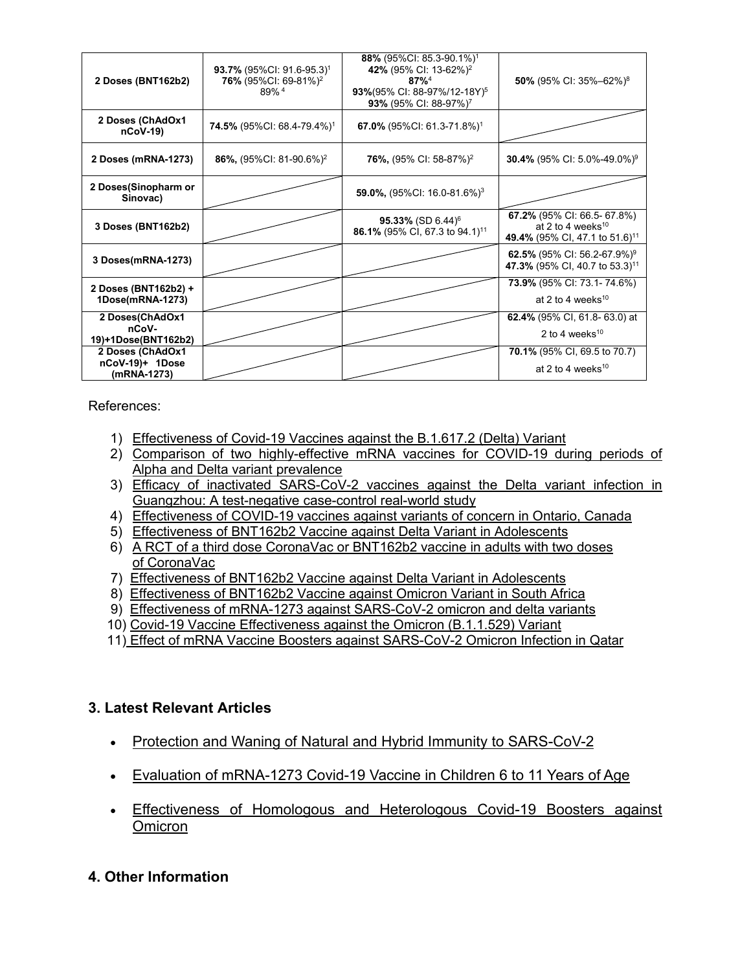| 2 Doses (BNT162b2)                       | 93.7% (95%CI: 91.6-95.3) <sup>1</sup><br>76% (95%CI: 69-81%) <sup>2</sup><br>89% <sup>4</sup> | 88% (95%CI: 85.3-90.1%) <sup>1</sup><br>42% (95% CI: 13-62%) <sup>2</sup><br>$87%^{4}$<br>93%(95% CI: 88-97%/12-18Y) <sup>5</sup><br>93% (95% CI: 88-97%) <sup>7</sup> | 50% (95% CI: 35%-62%) <sup>8</sup>                                                                         |
|------------------------------------------|-----------------------------------------------------------------------------------------------|------------------------------------------------------------------------------------------------------------------------------------------------------------------------|------------------------------------------------------------------------------------------------------------|
| 2 Doses (ChAdOx1<br>$nCoV-19$            | <b>74.5%</b> (95%CI: 68.4-79.4%) <sup>1</sup>                                                 | 67.0% (95%CI: 61.3-71.8%) <sup>1</sup>                                                                                                                                 |                                                                                                            |
| 2 Doses (mRNA-1273)                      | 86%, (95%CI: 81-90.6%) <sup>2</sup>                                                           | <b>76%,</b> (95% CI: 58-87%) <sup>2</sup>                                                                                                                              | <b>30.4%</b> (95% CI: 5.0%-49.0%) <sup>9</sup>                                                             |
| 2 Doses(Sinopharm or<br>Sinovac)         |                                                                                               | <b>59.0%,</b> (95%CI: 16.0-81.6%) <sup>3</sup>                                                                                                                         |                                                                                                            |
| 3 Doses (BNT162b2)                       |                                                                                               | 95.33% (SD 6.44) <sup>6</sup><br>86.1% (95% CI, 67.3 to 94.1) <sup>11</sup>                                                                                            | 67.2% (95% CI: 66.5- 67.8%)<br>at 2 to 4 weeks <sup>10</sup><br>49.4% (95% CI, 47.1 to 51.6) <sup>11</sup> |
| 3 Doses(mRNA-1273)                       |                                                                                               |                                                                                                                                                                        | 62.5% (95% CI: 56.2-67.9%) <sup>9</sup><br>47.3% (95% CI, 40.7 to 53.3) <sup>11</sup>                      |
| 2 Doses (BNT162b2) +<br>1Dose(mRNA-1273) |                                                                                               |                                                                                                                                                                        | 73.9% (95% CI: 73.1-74.6%)<br>at 2 to 4 weeks $10$                                                         |
| 2 Doses(ChAdOx1<br>nCoV-                 |                                                                                               |                                                                                                                                                                        | <b>62.4%</b> (95% CI, 61.8- 63.0) at                                                                       |
| 19)+1Dose(BNT162b2)                      |                                                                                               |                                                                                                                                                                        | 2 to 4 weeks <sup>10</sup>                                                                                 |
| 2 Doses (ChAdOx1                         |                                                                                               |                                                                                                                                                                        | 70.1% (95% CI, 69.5 to 70.7)                                                                               |
| nCoV-19)+ 1Dose<br>(mRNA-1273)           |                                                                                               |                                                                                                                                                                        | at 2 to 4 weeks $10$                                                                                       |

References:

- 1) [Effectiveness](https://www.nejm.org/doi/pdf/10.1056/NEJMoa2108891?articleTools=true) of Covid-19 Vaccines against the B.1.617.2 (Delta) Variant
- 2) Comparison of two [highly-effective](https://www.medrxiv.org/content/10.1101/2021.08.06.21261707v1.full.pdf) mRNA vaccines for COVID-19 during periods of Alpha and Delta variant prevalence
- 3) Efficacy of inactivated [SARS-CoV-2](https://www.tandfonline.com/doi/full/10.1080/22221751.2021.1969291) vaccines against the Delta variant infection in Guangzhou: A test-negative case-control real-world study
- 4) [Effectiveness](https://www.medrxiv.org/content/10.1101/2021.06.28.21259420v2.full.pdf) of COVID-19 vaccines against variants of concern in Ontario, Canada
- 5) [Effectiveness](https://www.nejm.org/doi/pdf/10.1056/NEJMc2114290?articleTools=true) of BNT162b2 Vaccine against Delta Variant in Adolescents
- 6) A RCT of a third dose [CoronaVac](https://www.medrxiv.org/content/10.1101/2021.11.02.21265843v1.full.pdf) or BNT162b2 vaccine in adults with two doses of CoronaVac
- 7) [Effectiveness](https://www.nejm.org/doi/full/10.1056/NEJMc2114290?query=featured_home) of BNT162b2 Vaccine against Delta Variant in Adolescents
- 8) [Effectiveness](https://www.nejm.org/doi/full/10.1056/NEJMc2119270) of BNT162b2 Vaccine against Omicron Variant in South Africa
- 9) [Effectiveness](https://www.medrxiv.org/content/10.1101/2022.01.07.22268919v1) of mRNA-1273 against SARS-CoV-2 omicron and delta variants
- 10) Covid-19 Vaccine [Effectiveness](https://www.nejm.org/doi/full/10.1056/NEJMoa2119451?query=featured_home) against the Omicron (B.1.1.529) Variant
- 11) Effect of mRNA Vaccine Boosters against [SARS-CoV-2](https://www.nejm.org/doi/full/10.1056/NEJMoa2200797) Omicron Infection in Qatar

### **3. Latest Relevant Articles**

- Protection and Waning of Natural and Hybrid Immunity to [SARS-CoV-2](https://www.nejm.org/doi/full/10.1056/NEJMoa2118946?query=recirc_mostViewed_railB_article)
- Evaluation of [mRNA-1273](https://www.nejm.org/doi/full/10.1056/NEJMoa2203315?query=featured_home) Covid-19 Vaccine in Children 6 to 11 Years of Age
- Effectiveness of Homologous and [Heterologous](https://www.nejm.org/doi/full/10.1056/NEJMc2203165?query=featured_home) Covid-19 Boosters against **Omicron**

## **4. Other Information**